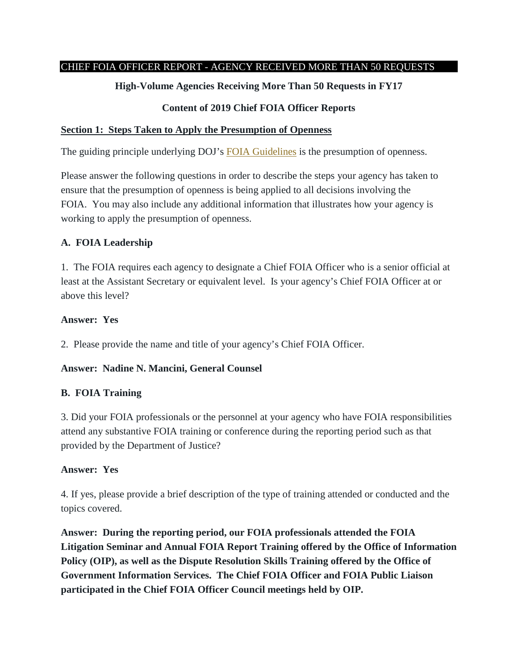## CHIEF FOIA OFFICER REPORT - AGENCY RECEIVED MORE THAN 50 REQUESTS

# **High-Volume Agencies Receiving More Than 50 Requests in FY17**

# **Content of 2019 Chief FOIA Officer Reports**

## **Section 1: Steps Taken to Apply the Presumption of Openness**

The guiding principle underlying DOJ's [FOIA Guidelines](http://justice.gov/ag/foia-memo-march2009.pdf) is the presumption of openness.

Please answer the following questions in order to describe the steps your agency has taken to ensure that the presumption of openness is being applied to all decisions involving the FOIA. You may also include any additional information that illustrates how your agency is working to apply the presumption of openness.

# **A. FOIA Leadership**

1. The FOIA requires each agency to designate a Chief FOIA Officer who is a senior official at least at the Assistant Secretary or equivalent level. Is your agency's Chief FOIA Officer at or above this level?

# **Answer: Yes**

2. Please provide the name and title of your agency's Chief FOIA Officer.

# **Answer: Nadine N. Mancini, General Counsel**

# **B. FOIA Training**

3. Did your FOIA professionals or the personnel at your agency who have FOIA responsibilities attend any substantive FOIA training or conference during the reporting period such as that provided by the Department of Justice?

# **Answer: Yes**

4. If yes, please provide a brief description of the type of training attended or conducted and the topics covered.

**Answer: During the reporting period, our FOIA professionals attended the FOIA Litigation Seminar and Annual FOIA Report Training offered by the Office of Information Policy (OIP), as well as the Dispute Resolution Skills Training offered by the Office of Government Information Services. The Chief FOIA Officer and FOIA Public Liaison participated in the Chief FOIA Officer Council meetings held by OIP.**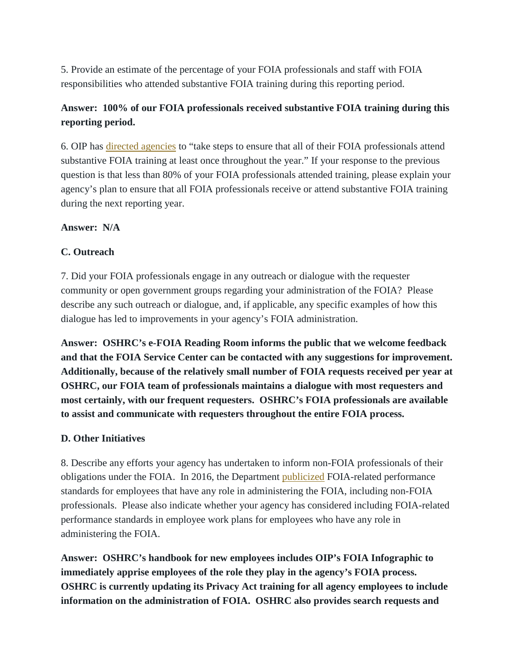5. Provide an estimate of the percentage of your FOIA professionals and staff with FOIA responsibilities who attended substantive FOIA training during this reporting period.

# **Answer: 100% of our FOIA professionals received substantive FOIA training during this reporting period.**

6. OIP has [directed agencies](https://www.justice.gov/oip/oip-guidance-9) to "take steps to ensure that all of their FOIA professionals attend substantive FOIA training at least once throughout the year." If your response to the previous question is that less than 80% of your FOIA professionals attended training, please explain your agency's plan to ensure that all FOIA professionals receive or attend substantive FOIA training during the next reporting year.

### **Answer: N/A**

# **C. Outreach**

7. Did your FOIA professionals engage in any outreach or dialogue with the requester community or open government groups regarding your administration of the FOIA? Please describe any such outreach or dialogue, and, if applicable, any specific examples of how this dialogue has led to improvements in your agency's FOIA administration.

**Answer: OSHRC's e-FOIA Reading Room informs the public that we welcome feedback and that the FOIA Service Center can be contacted with any suggestions for improvement. Additionally, because of the relatively small number of FOIA requests received per year at OSHRC, our FOIA team of professionals maintains a dialogue with most requesters and most certainly, with our frequent requesters. OSHRC's FOIA professionals are available to assist and communicate with requesters throughout the entire FOIA process.** 

### **D. Other Initiatives**

8. Describe any efforts your agency has undertaken to inform non-FOIA professionals of their obligations under the FOIA. In 2016, the Department [publicized](https://www.justice.gov/oip/blog/doj-stresses-importance-foia-and-open-government-through-performance-standards-employees) FOIA-related performance standards for employees that have any role in administering the FOIA, including non-FOIA professionals. Please also indicate whether your agency has considered including FOIA-related performance standards in employee work plans for employees who have any role in administering the FOIA.

**Answer: OSHRC's handbook for new employees includes OIP's FOIA Infographic to immediately apprise employees of the role they play in the agency's FOIA process. OSHRC is currently updating its Privacy Act training for all agency employees to include information on the administration of FOIA. OSHRC also provides search requests and**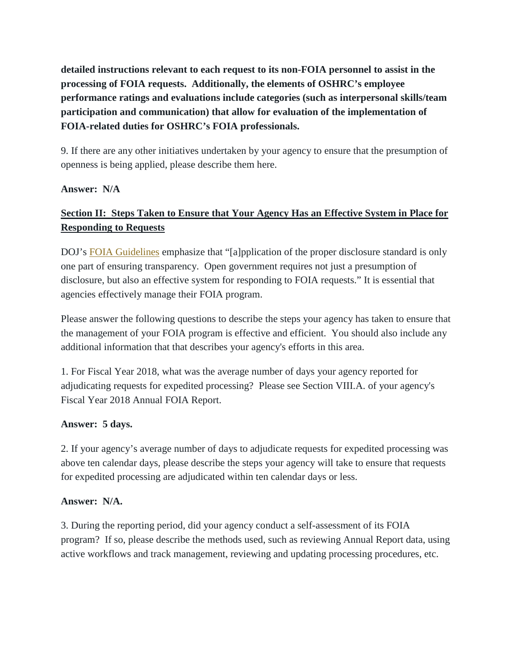**detailed instructions relevant to each request to its non-FOIA personnel to assist in the processing of FOIA requests. Additionally, the elements of OSHRC's employee performance ratings and evaluations include categories (such as interpersonal skills/team participation and communication) that allow for evaluation of the implementation of FOIA-related duties for OSHRC's FOIA professionals.**

9. If there are any other initiatives undertaken by your agency to ensure that the presumption of openness is being applied, please describe them here.

### **Answer: N/A**

# **Section II: Steps Taken to Ensure that Your Agency Has an Effective System in Place for Responding to Requests**

DOJ's [FOIA Guidelines](http://justice.gov/ag/foia-memo-march2009.pdf) emphasize that "[a]pplication of the proper disclosure standard is only one part of ensuring transparency. Open government requires not just a presumption of disclosure, but also an effective system for responding to FOIA requests." It is essential that agencies effectively manage their FOIA program.

Please answer the following questions to describe the steps your agency has taken to ensure that the management of your FOIA program is effective and efficient. You should also include any additional information that that describes your agency's efforts in this area.

1. For Fiscal Year 2018, what was the average number of days your agency reported for adjudicating requests for expedited processing? Please see Section VIII.A. of your agency's Fiscal Year 2018 Annual FOIA Report.

### **Answer: 5 days.**

2. If your agency's average number of days to adjudicate requests for expedited processing was above ten calendar days, please describe the steps your agency will take to ensure that requests for expedited processing are adjudicated within ten calendar days or less.

# **Answer: N/A.**

3. During the reporting period, did your agency conduct a self-assessment of its FOIA program? If so, please describe the methods used, such as reviewing Annual Report data, using active workflows and track management, reviewing and updating processing procedures, etc.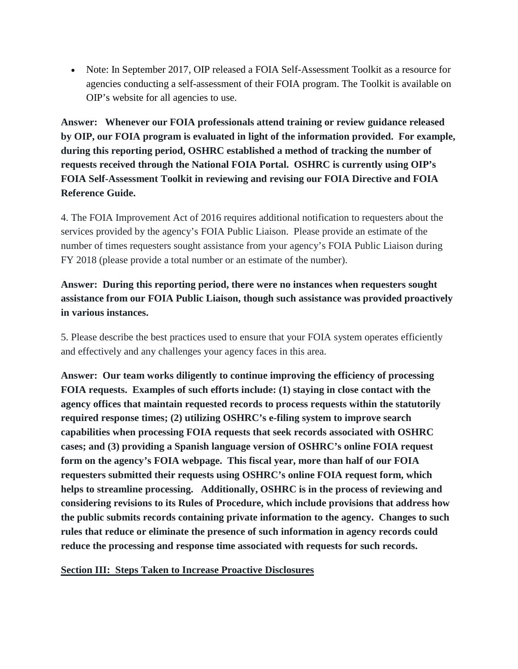• Note: In September 2017, OIP released a FOIA Self-Assessment Toolkit as a resource for agencies conducting a self-assessment of their FOIA program. The Toolkit is available on OIP's website for all agencies to use.

**Answer: Whenever our FOIA professionals attend training or review guidance released by OIP, our FOIA program is evaluated in light of the information provided. For example, during this reporting period, OSHRC established a method of tracking the number of requests received through the National FOIA Portal. OSHRC is currently using OIP's FOIA Self-Assessment Toolkit in reviewing and revising our FOIA Directive and FOIA Reference Guide.** 

4. The FOIA Improvement Act of 2016 requires additional notification to requesters about the services provided by the agency's FOIA Public Liaison. Please provide an estimate of the number of times requesters sought assistance from your agency's FOIA Public Liaison during FY 2018 (please provide a total number or an estimate of the number).

# **Answer: During this reporting period, there were no instances when requesters sought assistance from our FOIA Public Liaison, though such assistance was provided proactively in various instances.**

5. Please describe the best practices used to ensure that your FOIA system operates efficiently and effectively and any challenges your agency faces in this area.

**Answer: Our team works diligently to continue improving the efficiency of processing FOIA requests. Examples of such efforts include: (1) staying in close contact with the agency offices that maintain requested records to process requests within the statutorily required response times; (2) utilizing OSHRC's e-filing system to improve search capabilities when processing FOIA requests that seek records associated with OSHRC cases; and (3) providing a Spanish language version of OSHRC's online FOIA request form on the agency's FOIA webpage. This fiscal year, more than half of our FOIA requesters submitted their requests using OSHRC's online FOIA request form, which helps to streamline processing. Additionally, OSHRC is in the process of reviewing and considering revisions to its Rules of Procedure, which include provisions that address how the public submits records containing private information to the agency. Changes to such rules that reduce or eliminate the presence of such information in agency records could reduce the processing and response time associated with requests for such records.** 

# **Section III: Steps Taken to Increase Proactive Disclosures**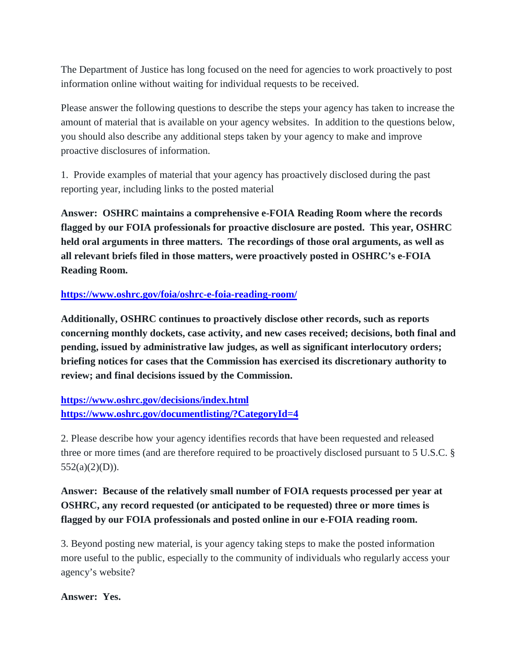The Department of Justice has long focused on the need for agencies to work proactively to post information online without waiting for individual requests to be received.

Please answer the following questions to describe the steps your agency has taken to increase the amount of material that is available on your agency websites. In addition to the questions below, you should also describe any additional steps taken by your agency to make and improve proactive disclosures of information.

1. Provide examples of material that your agency has proactively disclosed during the past reporting year, including links to the posted material

**Answer: OSHRC maintains a comprehensive e-FOIA Reading Room where the records flagged by our FOIA professionals for proactive disclosure are posted. This year, OSHRC held oral arguments in three matters. The recordings of those oral arguments, as well as all relevant briefs filed in those matters, were proactively posted in OSHRC's e-FOIA Reading Room.** 

### **<https://www.oshrc.gov/foia/oshrc-e-foia-reading-room/>**

**Additionally, OSHRC continues to proactively disclose other records, such as reports concerning monthly dockets, case activity, and new cases received; decisions, both final and pending, issued by administrative law judges, as well as significant interlocutory orders; briefing notices for cases that the Commission has exercised its discretionary authority to review; and final decisions issued by the Commission.** 

**<https://www.oshrc.gov/decisions/index.html> <https://www.oshrc.gov/documentlisting/?CategoryId=4>**

2. Please describe how your agency identifies records that have been requested and released three or more times (and are therefore required to be proactively disclosed pursuant to 5 U.S.C. §  $552(a)(2)(D)$ ).

**Answer: Because of the relatively small number of FOIA requests processed per year at OSHRC, any record requested (or anticipated to be requested) three or more times is flagged by our FOIA professionals and posted online in our e-FOIA reading room.** 

3. Beyond posting new material, is your agency taking steps to make the posted information more useful to the public, especially to the community of individuals who regularly access your agency's website?

### **Answer: Yes.**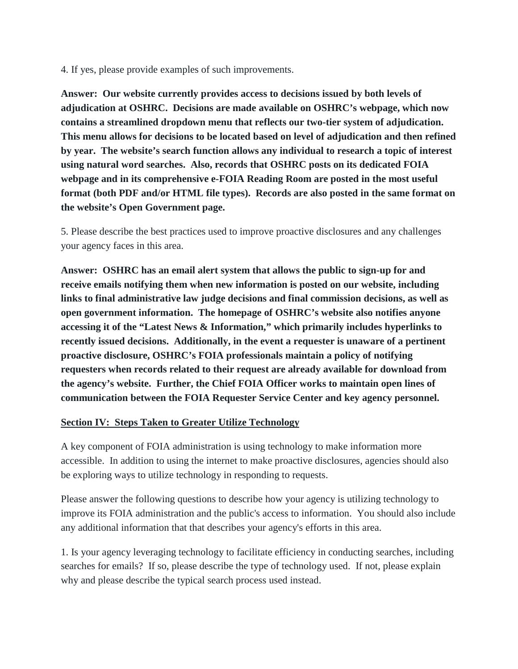4. If yes, please provide examples of such improvements.

**Answer: Our website currently provides access to decisions issued by both levels of adjudication at OSHRC. Decisions are made available on OSHRC's webpage, which now contains a streamlined dropdown menu that reflects our two-tier system of adjudication. This menu allows for decisions to be located based on level of adjudication and then refined by year. The website's search function allows any individual to research a topic of interest using natural word searches. Also, records that OSHRC posts on its dedicated FOIA webpage and in its comprehensive e-FOIA Reading Room are posted in the most useful format (both PDF and/or HTML file types). Records are also posted in the same format on the website's Open Government page.** 

5. Please describe the best practices used to improve proactive disclosures and any challenges your agency faces in this area.

**Answer: OSHRC has an email alert system that allows the public to sign-up for and receive emails notifying them when new information is posted on our website, including links to final administrative law judge decisions and final commission decisions, as well as open government information. The homepage of OSHRC's website also notifies anyone accessing it of the "Latest News & Information," which primarily includes hyperlinks to recently issued decisions. Additionally, in the event a requester is unaware of a pertinent proactive disclosure, OSHRC's FOIA professionals maintain a policy of notifying requesters when records related to their request are already available for download from the agency's website. Further, the Chief FOIA Officer works to maintain open lines of communication between the FOIA Requester Service Center and key agency personnel.** 

# **Section IV: Steps Taken to Greater Utilize Technology**

A key component of FOIA administration is using technology to make information more accessible. In addition to using the internet to make proactive disclosures, agencies should also be exploring ways to utilize technology in responding to requests.

Please answer the following questions to describe how your agency is utilizing technology to improve its FOIA administration and the public's access to information. You should also include any additional information that that describes your agency's efforts in this area.

1. Is your agency leveraging technology to facilitate efficiency in conducting searches, including searches for emails? If so, please describe the type of technology used. If not, please explain why and please describe the typical search process used instead.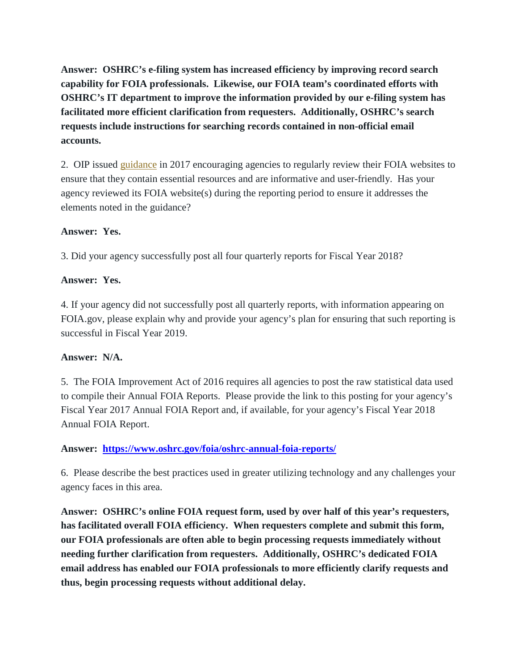**Answer: OSHRC's e-filing system has increased efficiency by improving record search capability for FOIA professionals. Likewise, our FOIA team's coordinated efforts with OSHRC's IT department to improve the information provided by our e-filing system has facilitated more efficient clarification from requesters. Additionally, OSHRC's search requests include instructions for searching records contained in non-official email accounts.** 

2. OIP issued [guidance](https://www.justice.gov/oip/oip-guidance/OIP%20Guidance%3A%20%20Agency%20FOIA%20Websites%202.0) in 2017 encouraging agencies to regularly review their FOIA websites to ensure that they contain essential resources and are informative and user-friendly. Has your agency reviewed its FOIA website(s) during the reporting period to ensure it addresses the elements noted in the guidance?

# **Answer: Yes.**

3. Did your agency successfully post all four quarterly reports for Fiscal Year 2018?

### **Answer: Yes.**

4. If your agency did not successfully post all quarterly reports, with information appearing on FOIA.gov, please explain why and provide your agency's plan for ensuring that such reporting is successful in Fiscal Year 2019.

### **Answer: N/A.**

5. The FOIA Improvement Act of 2016 requires all agencies to post the raw statistical data used to compile their Annual FOIA Reports. Please provide the link to this posting for your agency's Fiscal Year 2017 Annual FOIA Report and, if available, for your agency's Fiscal Year 2018 Annual FOIA Report.

### **Answer: <https://www.oshrc.gov/foia/oshrc-annual-foia-reports/>**

6. Please describe the best practices used in greater utilizing technology and any challenges your agency faces in this area.

**Answer: OSHRC's online FOIA request form, used by over half of this year's requesters, has facilitated overall FOIA efficiency. When requesters complete and submit this form, our FOIA professionals are often able to begin processing requests immediately without needing further clarification from requesters. Additionally, OSHRC's dedicated FOIA email address has enabled our FOIA professionals to more efficiently clarify requests and thus, begin processing requests without additional delay.**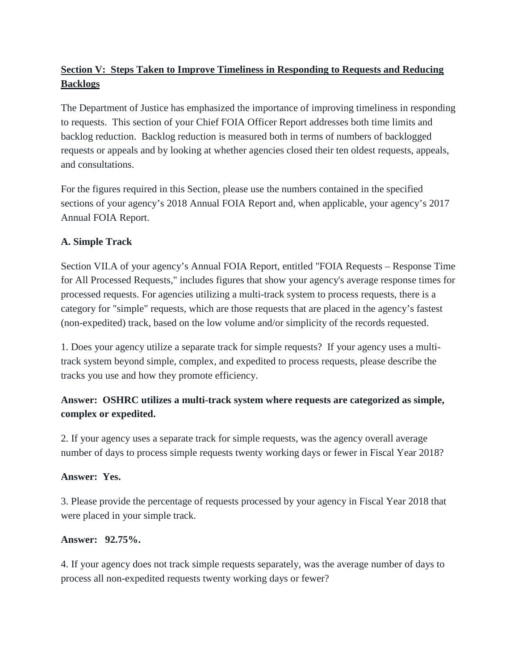# **Section V: Steps Taken to Improve Timeliness in Responding to Requests and Reducing Backlogs**

The Department of Justice has emphasized the importance of improving timeliness in responding to requests. This section of your Chief FOIA Officer Report addresses both time limits and backlog reduction. Backlog reduction is measured both in terms of numbers of backlogged requests or appeals and by looking at whether agencies closed their ten oldest requests, appeals, and consultations.

For the figures required in this Section, please use the numbers contained in the specified sections of your agency's 2018 Annual FOIA Report and, when applicable, your agency's 2017 Annual FOIA Report.

# **A. Simple Track**

Section VII.A of your agency's Annual FOIA Report, entitled "FOIA Requests – Response Time for All Processed Requests," includes figures that show your agency's average response times for processed requests. For agencies utilizing a multi-track system to process requests, there is a category for "simple" requests, which are those requests that are placed in the agency's fastest (non-expedited) track, based on the low volume and/or simplicity of the records requested.

1. Does your agency utilize a separate track for simple requests? If your agency uses a multitrack system beyond simple, complex, and expedited to process requests, please describe the tracks you use and how they promote efficiency.

# **Answer: OSHRC utilizes a multi-track system where requests are categorized as simple, complex or expedited.**

2. If your agency uses a separate track for simple requests, was the agency overall average number of days to process simple requests twenty working days or fewer in Fiscal Year 2018?

# **Answer: Yes.**

3. Please provide the percentage of requests processed by your agency in Fiscal Year 2018 that were placed in your simple track.

# **Answer: 92.75%.**

4. If your agency does not track simple requests separately, was the average number of days to process all non-expedited requests twenty working days or fewer?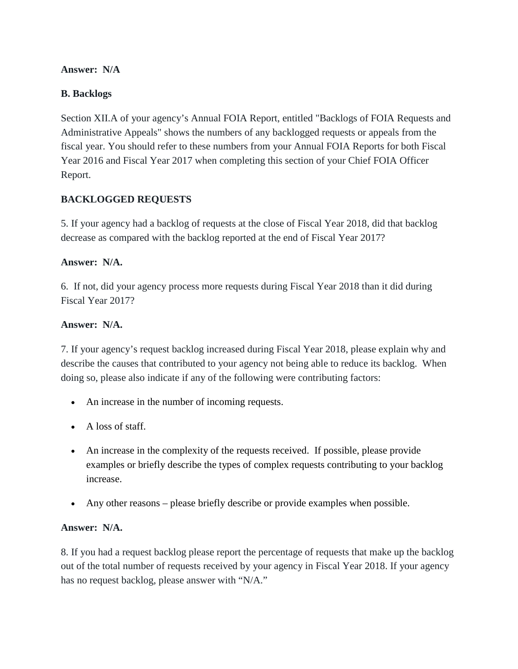# **Answer: N/A**

# **B. Backlogs**

Section XII.A of your agency's Annual FOIA Report, entitled "Backlogs of FOIA Requests and Administrative Appeals" shows the numbers of any backlogged requests or appeals from the fiscal year. You should refer to these numbers from your Annual FOIA Reports for both Fiscal Year 2016 and Fiscal Year 2017 when completing this section of your Chief FOIA Officer Report.

# **BACKLOGGED REQUESTS**

5. If your agency had a backlog of requests at the close of Fiscal Year 2018, did that backlog decrease as compared with the backlog reported at the end of Fiscal Year 2017?

## **Answer: N/A.**

6. If not, did your agency process more requests during Fiscal Year 2018 than it did during Fiscal Year 2017?

## **Answer: N/A.**

7. If your agency's request backlog increased during Fiscal Year 2018, please explain why and describe the causes that contributed to your agency not being able to reduce its backlog. When doing so, please also indicate if any of the following were contributing factors:

- An increase in the number of incoming requests.
- A loss of staff.
- An increase in the complexity of the requests received. If possible, please provide examples or briefly describe the types of complex requests contributing to your backlog increase.
- Any other reasons please briefly describe or provide examples when possible.

# **Answer: N/A.**

8. If you had a request backlog please report the percentage of requests that make up the backlog out of the total number of requests received by your agency in Fiscal Year 2018. If your agency has no request backlog, please answer with "N/A."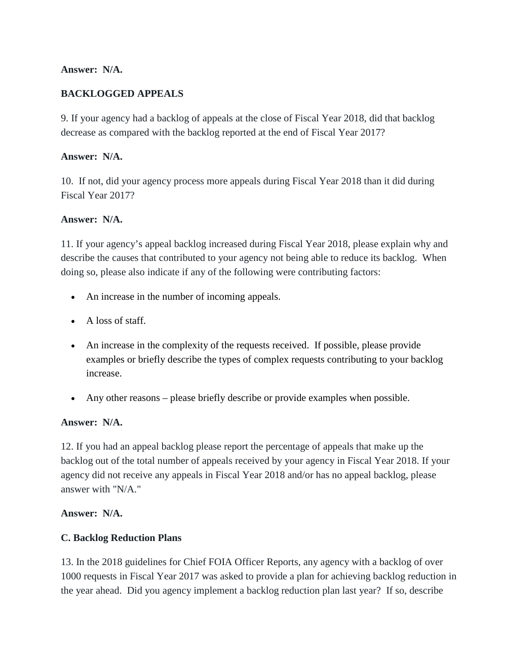# **Answer: N/A.**

# **BACKLOGGED APPEALS**

9. If your agency had a backlog of appeals at the close of Fiscal Year 2018, did that backlog decrease as compared with the backlog reported at the end of Fiscal Year 2017?

# **Answer: N/A.**

10. If not, did your agency process more appeals during Fiscal Year 2018 than it did during Fiscal Year 2017?

# **Answer: N/A.**

11. If your agency's appeal backlog increased during Fiscal Year 2018, please explain why and describe the causes that contributed to your agency not being able to reduce its backlog. When doing so, please also indicate if any of the following were contributing factors:

- An increase in the number of incoming appeals.
- A loss of staff.
- An increase in the complexity of the requests received. If possible, please provide examples or briefly describe the types of complex requests contributing to your backlog increase.
- Any other reasons please briefly describe or provide examples when possible.

# **Answer: N/A.**

12. If you had an appeal backlog please report the percentage of appeals that make up the backlog out of the total number of appeals received by your agency in Fiscal Year 2018. If your agency did not receive any appeals in Fiscal Year 2018 and/or has no appeal backlog, please answer with "N/A."

# **Answer: N/A.**

# **C. Backlog Reduction Plans**

13. In the 2018 guidelines for Chief FOIA Officer Reports, any agency with a backlog of over 1000 requests in Fiscal Year 2017 was asked to provide a plan for achieving backlog reduction in the year ahead. Did you agency implement a backlog reduction plan last year? If so, describe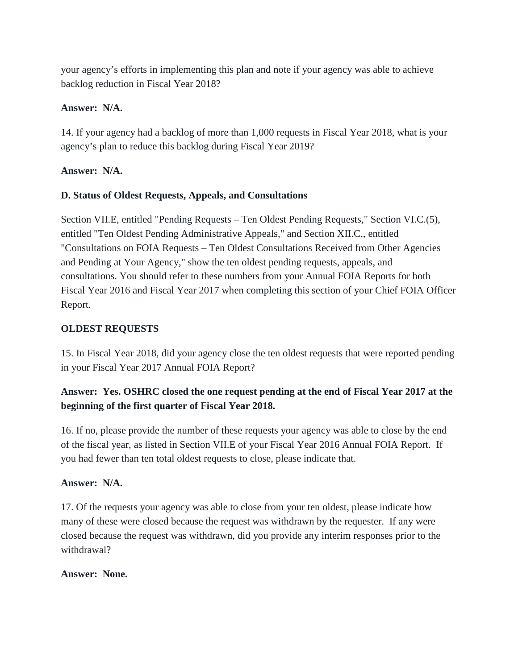your agency's efforts in implementing this plan and note if your agency was able to achieve backlog reduction in Fiscal Year 2018?

## **Answer: N/A.**

14. If your agency had a backlog of more than 1,000 requests in Fiscal Year 2018, what is your agency's plan to reduce this backlog during Fiscal Year 2019?

### **Answer: N/A.**

## **D. Status of Oldest Requests, Appeals, and Consultations**

Section VII.E, entitled "Pending Requests – Ten Oldest Pending Requests," Section VI.C.(5), entitled "Ten Oldest Pending Administrative Appeals," and Section XII.C., entitled "Consultations on FOIA Requests – Ten Oldest Consultations Received from Other Agencies and Pending at Your Agency," show the ten oldest pending requests, appeals, and consultations. You should refer to these numbers from your Annual FOIA Reports for both Fiscal Year 2016 and Fiscal Year 2017 when completing this section of your Chief FOIA Officer Report.

## **OLDEST REQUESTS**

15. In Fiscal Year 2018, did your agency close the ten oldest requests that were reported pending in your Fiscal Year 2017 Annual FOIA Report?

# **Answer: Yes. OSHRC closed the one request pending at the end of Fiscal Year 2017 at the beginning of the first quarter of Fiscal Year 2018.**

16. If no, please provide the number of these requests your agency was able to close by the end of the fiscal year, as listed in Section VII.E of your Fiscal Year 2016 Annual FOIA Report. If you had fewer than ten total oldest requests to close, please indicate that.

### **Answer: N/A.**

17. Of the requests your agency was able to close from your ten oldest, please indicate how many of these were closed because the request was withdrawn by the requester. If any were closed because the request was withdrawn, did you provide any interim responses prior to the withdrawal?

#### **Answer: None.**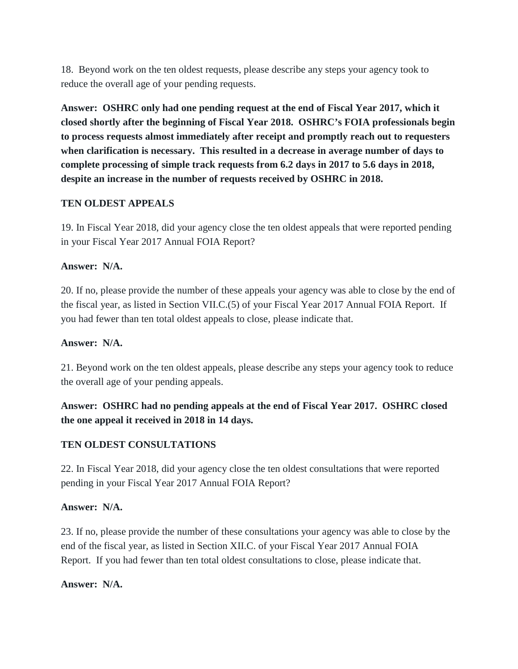18. Beyond work on the ten oldest requests, please describe any steps your agency took to reduce the overall age of your pending requests.

**Answer: OSHRC only had one pending request at the end of Fiscal Year 2017, which it closed shortly after the beginning of Fiscal Year 2018. OSHRC's FOIA professionals begin to process requests almost immediately after receipt and promptly reach out to requesters when clarification is necessary. This resulted in a decrease in average number of days to complete processing of simple track requests from 6.2 days in 2017 to 5.6 days in 2018, despite an increase in the number of requests received by OSHRC in 2018.** 

## **TEN OLDEST APPEALS**

19. In Fiscal Year 2018, did your agency close the ten oldest appeals that were reported pending in your Fiscal Year 2017 Annual FOIA Report?

### **Answer: N/A.**

20. If no, please provide the number of these appeals your agency was able to close by the end of the fiscal year, as listed in Section VII.C.(5) of your Fiscal Year 2017 Annual FOIA Report. If you had fewer than ten total oldest appeals to close, please indicate that.

### **Answer: N/A.**

21. Beyond work on the ten oldest appeals, please describe any steps your agency took to reduce the overall age of your pending appeals.

# **Answer: OSHRC had no pending appeals at the end of Fiscal Year 2017. OSHRC closed the one appeal it received in 2018 in 14 days.**

### **TEN OLDEST CONSULTATIONS**

22. In Fiscal Year 2018, did your agency close the ten oldest consultations that were reported pending in your Fiscal Year 2017 Annual FOIA Report?

### **Answer: N/A.**

23. If no, please provide the number of these consultations your agency was able to close by the end of the fiscal year, as listed in Section XII.C. of your Fiscal Year 2017 Annual FOIA Report. If you had fewer than ten total oldest consultations to close, please indicate that.

### **Answer: N/A.**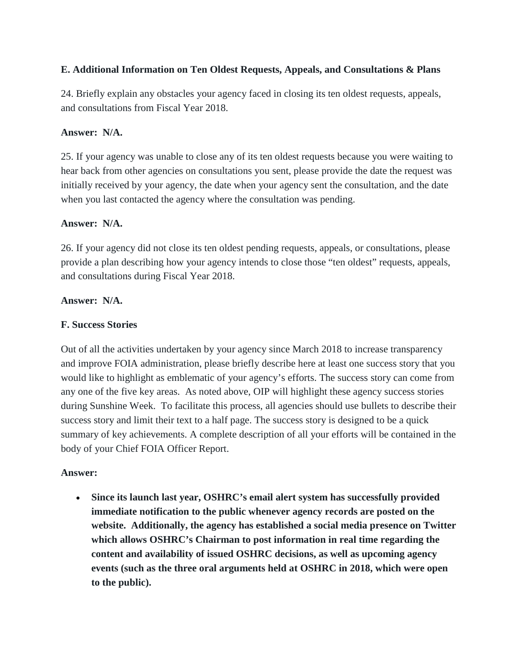# **E. Additional Information on Ten Oldest Requests, Appeals, and Consultations & Plans**

24. Briefly explain any obstacles your agency faced in closing its ten oldest requests, appeals, and consultations from Fiscal Year 2018.

## **Answer: N/A.**

25. If your agency was unable to close any of its ten oldest requests because you were waiting to hear back from other agencies on consultations you sent, please provide the date the request was initially received by your agency, the date when your agency sent the consultation, and the date when you last contacted the agency where the consultation was pending.

## **Answer: N/A.**

26. If your agency did not close its ten oldest pending requests, appeals, or consultations, please provide a plan describing how your agency intends to close those "ten oldest" requests, appeals, and consultations during Fiscal Year 2018.

## **Answer: N/A.**

## **F. Success Stories**

Out of all the activities undertaken by your agency since March 2018 to increase transparency and improve FOIA administration, please briefly describe here at least one success story that you would like to highlight as emblematic of your agency's efforts. The success story can come from any one of the five key areas. As noted above, OIP will highlight these agency success stories during Sunshine Week. To facilitate this process, all agencies should use bullets to describe their success story and limit their text to a half page. The success story is designed to be a quick summary of key achievements. A complete description of all your efforts will be contained in the body of your Chief FOIA Officer Report.

### **Answer:**

• **Since its launch last year, OSHRC's email alert system has successfully provided immediate notification to the public whenever agency records are posted on the website. Additionally, the agency has established a social media presence on Twitter which allows OSHRC's Chairman to post information in real time regarding the content and availability of issued OSHRC decisions, as well as upcoming agency events (such as the three oral arguments held at OSHRC in 2018, which were open to the public).**